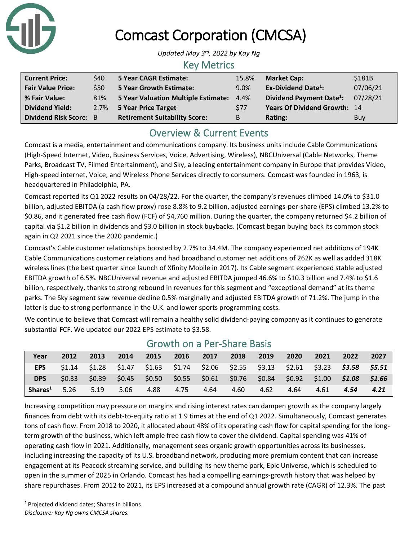

# Comcast Corporation (CMCSA)

*Updated May 3 rd, 2022 by Kay Ng*

#### Key Metrics

| <b>Current Price:</b>         | \$40 | 5 Year CAGR Estimate:                | 15.8%      | <b>Market Cap:</b>                   | \$181B   |
|-------------------------------|------|--------------------------------------|------------|--------------------------------------|----------|
| <b>Fair Value Price:</b>      | \$50 | <b>5 Year Growth Estimate:</b>       | $9.0\%$    | <b>Ex-Dividend Date<sup>1</sup>:</b> | 07/06/21 |
| % Fair Value:                 | 81%  | 5 Year Valuation Multiple Estimate:  | 4.4%       | Dividend Payment Date <sup>1</sup> : | 07/28/21 |
| <b>Dividend Yield:</b>        |      | 2.7% 5 Year Price Target             | <b>S77</b> | Years Of Dividend Growth: 14         |          |
| <b>Dividend Risk Score: B</b> |      | <b>Retirement Suitability Score:</b> | B          | Rating:                              | Buy      |

## Overview & Current Events

Comcast is a media, entertainment and communications company. Its business units include Cable Communications (High-Speed Internet, Video, Business Services, Voice, Advertising, Wireless), NBCUniversal (Cable Networks, Theme Parks, Broadcast TV, Filmed Entertainment), and Sky, a leading entertainment company in Europe that provides Video, High-speed internet, Voice, and Wireless Phone Services directly to consumers. Comcast was founded in 1963, is headquartered in Philadelphia, PA.

Comcast reported its Q1 2022 results on 04/28/22. For the quarter, the company's revenues climbed 14.0% to \$31.0 billion, adjusted EBITDA (a cash flow proxy) rose 8.8% to 9.2 billion, adjusted earnings-per-share (EPS) climbed 13.2% to \$0.86, and it generated free cash flow (FCF) of \$4,760 million. During the quarter, the company returned \$4.2 billion of capital via \$1.2 billion in dividends and \$3.0 billion in stock buybacks. (Comcast began buying back its common stock again in Q2 2021 since the 2020 pandemic.)

Comcast's Cable customer relationships boosted by 2.7% to 34.4M. The company experienced net additions of 194K Cable Communications customer relations and had broadband customer net additions of 262K as well as added 318K wireless lines (the best quarter since launch of Xfinity Mobile in 2017). Its Cable segment experienced stable adjusted EBITDA growth of 6.5%. NBCUniversal revenue and adjusted EBITDA jumped 46.6% to \$10.3 billion and 7.4% to \$1.6 billion, respectively, thanks to strong rebound in revenues for this segment and "exceptional demand" at its theme parks. The Sky segment saw revenue decline 0.5% marginally and adjusted EBITDA growth of 71.2%. The jump in the latter is due to strong performance in the U.K. and lower sports programming costs.

We continue to believe that Comcast will remain a healthy solid dividend-paying company as it continues to generate substantial FCF. We updated our 2022 EPS estimate to \$3.58.

| Year                | 2012 | 2013 | 2014 |  | 2015 2016 2017 2018 |      |      | 2019 | 2020 | 2021 | 2022                                                                                            | 2027 |
|---------------------|------|------|------|--|---------------------|------|------|------|------|------|-------------------------------------------------------------------------------------------------|------|
| <b>EPS</b>          |      |      |      |  |                     |      |      |      |      |      | $$1.14$ $$1.28$ $$1.47$ $$1.63$ $$1.74$ $$2.06$ $$2.55$ $$3.13$ $$2.61$ $$3.23$ $$3.58$ $$5.51$ |      |
| <b>DPS</b>          |      |      |      |  |                     |      |      |      |      |      | $$0.33$ $$0.39$ $$0.45$ $$0.50$ $$0.55$ $$0.61$ $$0.76$ $$0.84$ $$0.92$ $$1.00$ $$1.08$ $$1.66$ |      |
| Shares <sup>1</sup> | 5.26 | 5.19 | 5.06 |  | 4.88 4.75           | 4.64 | 4.60 | 4.62 | 4.64 | 4.61 | 4.54                                                                                            | 4.21 |

### Growth on a Per-Share Basis

Increasing competition may pressure on margins and rising interest rates can dampen growth as the company largely finances from debt with its debt-to-equity ratio at 1.9 times at the end of Q1 2022. Simultaneously, Comcast generates tons of cash flow. From 2018 to 2020, it allocated about 48% of its operating cash flow for capital spending for the longterm growth of the business, which left ample free cash flow to cover the dividend. Capital spending was 41% of operating cash flow in 2021. Additionally, management sees organic growth opportunities across its businesses, including increasing the capacity of its U.S. broadband network, producing more premium content that can increase engagement at its Peacock streaming service, and building its new theme park, Epic Universe, which is scheduled to open in the summer of 2025 in Orlando. Comcast has had a compelling earnings-growth history that was helped by share repurchases. From 2012 to 2021, its EPS increased at a compound annual growth rate (CAGR) of 12.3%. The past

<sup>1</sup> Projected dividend dates; Shares in billions. *Disclosure: Kay Ng owns CMCSA shares.*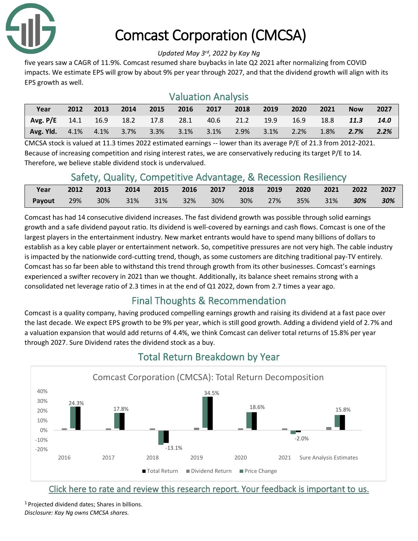

# Comcast Corporation (CMCSA)

*Updated May 3 rd, 2022 by Kay Ng*

five years saw a CAGR of 11.9%. Comcast resumed share buybacks in late Q2 2021 after normalizing from COVID impacts. We estimate EPS will grow by about 9% per year through 2027, and that the dividend growth will align with its EPS growth as well.

### Valuation Analysis

| Year                 | 2012    | 2013 | 2014    | 2015    | 2016           | 2017 | 2018           | 2019 | 2020 | 2021 | <b>Now</b> | 2027 |
|----------------------|---------|------|---------|---------|----------------|------|----------------|------|------|------|------------|------|
| Avg. $P/E$ 14.1 16.9 |         |      |         |         | 18.2 17.8 28.1 |      | 40.6 21.2 19.9 |      | 16.9 | 18.8 | 11.3       | 14.0 |
| Avg. Yld.            | $4.1\%$ | 4.1% | $3.7\%$ | $3.3\%$ | $3.1\%$        | 3.1% | 2.9%           | 3.1% | 2.2% | 1.8% | 2.7%       | 2.2% |

CMCSA stock is valued at 11.3 times 2022 estimated earnings -- lower than its average P/E of 21.3 from 2012-2021. Because of increasing competition and rising interest rates, we are conservatively reducing its target P/E to 14. Therefore, we believe stable dividend stock is undervalued.

#### Safety, Quality, Competitive Advantage, & Recession Resiliency

| Year          |        | 2012 2013 2014 2015 2016 2017 2018 2019 2020 2021 2022 2027 |  |  |  |  |     |
|---------------|--------|-------------------------------------------------------------|--|--|--|--|-----|
| <b>Payout</b> | $29\%$ | 30% 31% 31% 32% 30% 30% 27% 35% 31% <b><i>30%</i></b>       |  |  |  |  | 30% |

Comcast has had 14 consecutive dividend increases. The fast dividend growth was possible through solid earnings growth and a safe dividend payout ratio. Its dividend is well-covered by earnings and cash flows. Comcast is one of the largest players in the entertainment industry. New market entrants would have to spend many billions of dollars to establish as a key cable player or entertainment network. So, competitive pressures are not very high. The cable industry is impacted by the nationwide cord-cutting trend, though, as some customers are ditching traditional pay-TV entirely. Comcast has so far been able to withstand this trend through growth from its other businesses. Comcast's earnings experienced a swifter recovery in 2021 than we thought. Additionally, its balance sheet remains strong with a consolidated net leverage ratio of 2.3 times in at the end of Q1 2022, down from 2.7 times a year ago.

# Final Thoughts & Recommendation

Comcast is a quality company, having produced compelling earnings growth and raising its dividend at a fast pace over the last decade. We expect EPS growth to be 9% per year, which is still good growth. Adding a dividend yield of 2.7% and a valuation expansion that would add returns of 4.4%, we think Comcast can deliver total returns of 15.8% per year through 2027. Sure Dividend rates the dividend stock as a buy.



# Total Return Breakdown by Year

#### [Click here to rate and review this research report. Your feedback is important to us.](https://suredividend.typeform.com/to/N5bXgc)

<sup>1</sup> [Projected dividend dates; Shares in billions.](https://suredividend.typeform.com/to/N5bXgc) *Disclosure: Kay Ng owns CMCSA shares.*